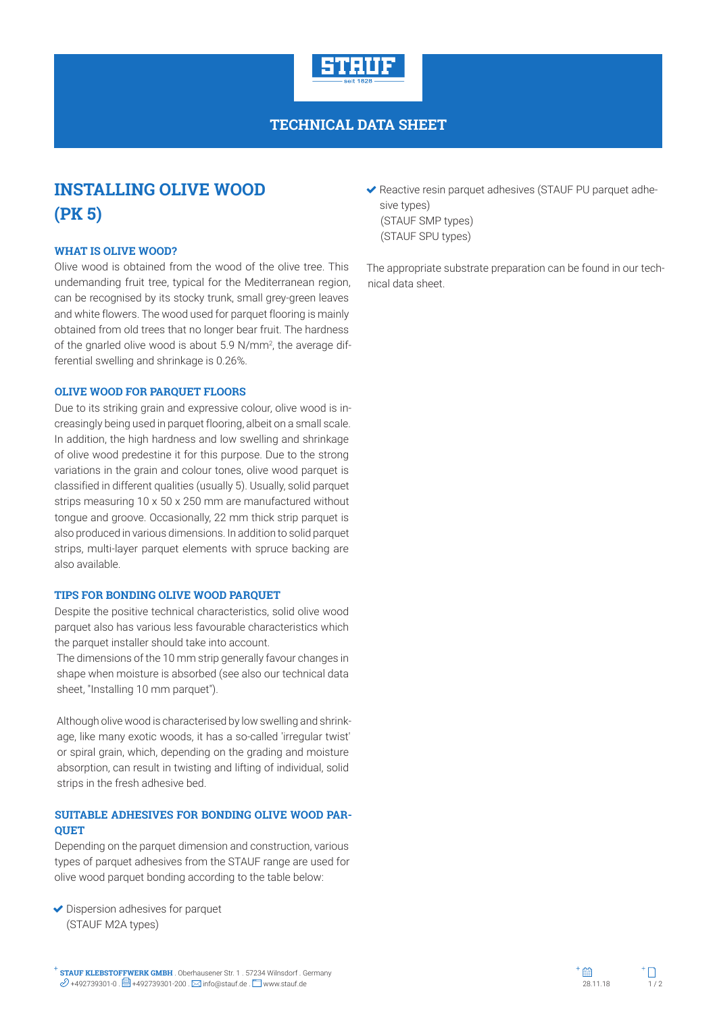

**TECHNICAL DATA SHEET**

# **INSTALLING OLIVE WOOD (PK 5)**

#### **WHAT IS OLIVE WOOD?**

Olive wood is obtained from the wood of the olive tree. This undemanding fruit tree, typical for the Mediterranean region, can be recognised by its stocky trunk, small grey-green leaves and white flowers. The wood used for parquet flooring is mainly obtained from old trees that no longer bear fruit. The hardness of the gnarled olive wood is about 5.9 N/mm<sup>2</sup>, the average differential swelling and shrinkage is 0.26%.

#### **OLIVE WOOD FOR PARQUET FLOORS**

Due to its striking grain and expressive colour, olive wood is increasingly being used in parquet flooring, albeit on a small scale. In addition, the high hardness and low swelling and shrinkage of olive wood predestine it for this purpose. Due to the strong variations in the grain and colour tones, olive wood parquet is classified in different qualities (usually 5). Usually, solid parquet strips measuring 10 x 50 x 250 mm are manufactured without tongue and groove. Occasionally, 22 mm thick strip parquet is also produced in various dimensions. In addition to solid parquet strips, multi-layer parquet elements with spruce backing are also available.

#### **TIPS FOR BONDING OLIVE WOOD PARQUET**

Despite the positive technical characteristics, solid olive wood parquet also has various less favourable characteristics which the parquet installer should take into account.

The dimensions of the 10 mm strip generally favour changes in shape when moisture is absorbed (see also our technical data sheet, "Installing 10 mm parquet").

Although olive wood is characterised by low swelling and shrinkage, like many exotic woods, it has a so-called 'irregular twist' or spiral grain, which, depending on the grading and moisture absorption, can result in twisting and lifting of individual, solid strips in the fresh adhesive bed.

#### **SUITABLE ADHESIVES FOR BONDING OLIVE WOOD PAR-QUET**

Depending on the parquet dimension and construction, various types of parquet adhesives from the STAUF range are used for olive wood parquet bonding according to the table below:

◆ Dispersion adhesives for parquet (STAUF M2A types)

 Reactive resin parquet adhesives (STAUF PU parquet adhesive types) (STAUF SMP types) (STAUF SPU types)

The appropriate substrate preparation can be found in our technical data sheet.